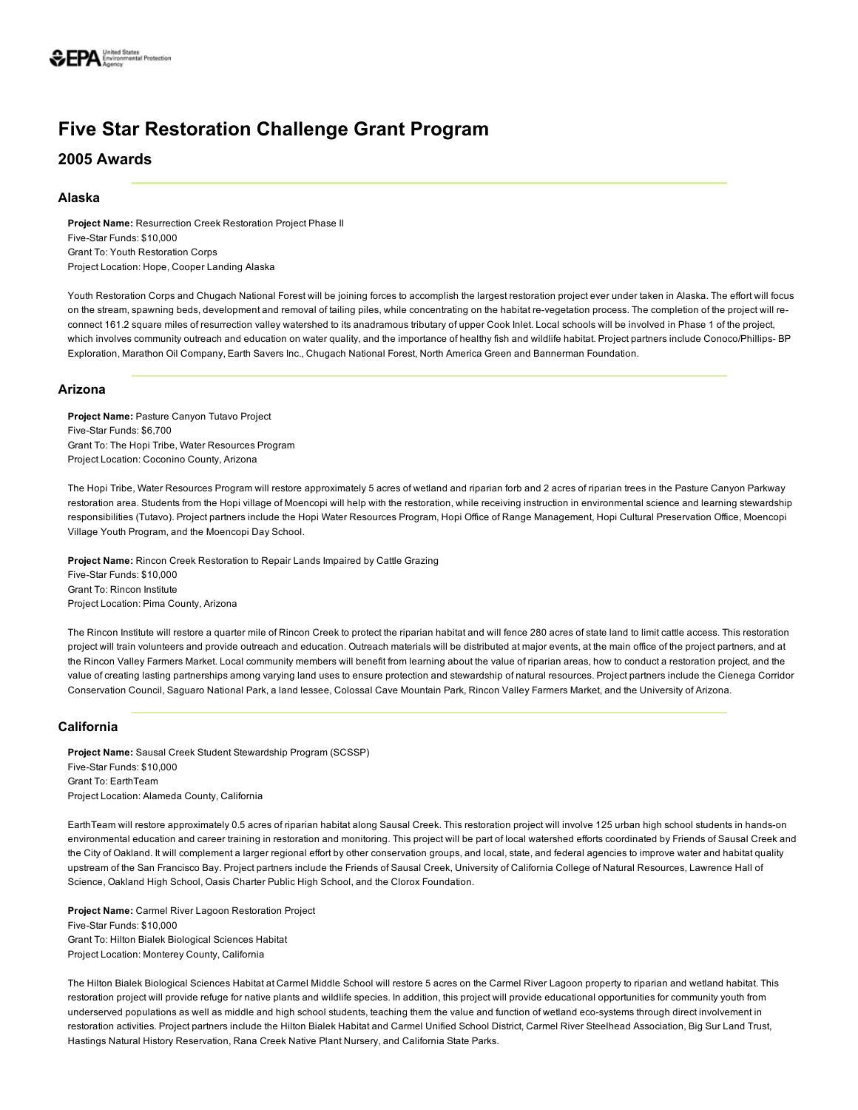# Five Star Restoration Challenge Grant Program

2005 Awards

## Alaska

Project Name: Resurrection Creek Restoration Project Phase II Five-Star Funds: \$10,000 Grant To: Youth Restoration Corps Project Location: Hope, Cooper Landing Alaska

Youth Restoration Corps and Chugach National Forest will be joining forces to accomplish the largest restoration project ever under taken in Alaska. The effort will focus on the stream, spawning beds, development and removal of tailing piles, while concentrating on the habitat re-vegetation process. The completion of the project will reconnect 161.2 square miles of resurrection valley watershed to its anadramous tributary of upper Cook Inlet. Local schools will be involved in Phase 1 of the project, which involves community outreach and education on water quality, and the importance of healthy fish and wildlife habitat. Project partners include Conoco/Phillips-BP Exploration, Marathon Oil Company, Earth Savers Inc., Chugach National Forest, North America Green and Bannerman Foundation.

# Arizona

Project Name: Pasture Canyon Tutavo Project Five-Star Funds: \$6,700 Grant To: The Hopi Tribe, Water Resources Program Project Location: Coconino County, Arizona

The Hopi Tribe, Water Resources Program will restore approximately 5 acres of wetland and riparian forb and 2 acres of riparian trees in the Pasture Canyon Parkway restoration area. Students from the Hopi village of Moencopi will help with the restoration, while receiving instruction in environmental science and learning stewardship responsibilities (Tutavo). Project partners include the Hopi Water Resources Program, Hopi Office of Range Management, Hopi Cultural Preservation Office, Moencopi Village Youth Program, and the Moencopi Day School.

Project Name: Rincon Creek Restoration to Repair Lands Impaired by Cattle Grazing Five-Star Funds: \$10,000 Grant To: Rincon Institute Project Location: Pima County, Arizona

The Rincon Institute will restore a quarter mile of Rincon Creek to protect the riparian habitat and will fence 280 acres of state land to limit cattle access. This restoration project will train volunteers and provide outreach and education. Outreach materials will be distributed at major events, at the main office of the project partners, and at the Rincon Valley Farmers Market. Local community members will benefit from learning about the value of riparian areas, how to conduct a restoration project, and the value of creating lasting partnerships among varying land uses to ensure protection and stewardship of natural resources. Project partners include the Cienega Corridor Conservation Council, Saguaro National Park, a land lessee, Colossal Cave Mountain Park, Rincon Valley Farmers Market, and the University of Arizona.

# California

Project Name: Sausal Creek Student Stewardship Program (SCSSP) Five-Star Funds: \$10,000 Grant To: EarthTeam Project Location: Alameda County, California

EarthTeam will restore approximately 0.5 acres of riparian habitat along Sausal Creek. This restoration project will involve 125 urban high school students in hands-on environmental education and career training in restoration and monitoring. This project will be part of local watershed efforts coordinated by Friends of Sausal Creek and the City of Oakland. It will complement a larger regional effort by other conservation groups, and local, state, and federal agencies to improve water and habitat quality upstream of the San Francisco Bay. Project partners include the Friends of Sausal Creek, University of California College of Natural Resources, Lawrence Hall of Science, Oakland High School, Oasis Charter Public High School, and the Clorox Foundation.

Project Name: Carmel River Lagoon Restoration Project Five-Star Funds: \$10,000 Grant To: Hilton Bialek Biological Sciences Habitat Project Location: Monterey County, California

The Hilton Bialek Biological Sciences Habitat at Carmel Middle School will restore 5 acres on the Carmel River Lagoon property to riparian and wetland habitat. This restoration project will provide refuge for native plants and wildlife species. In addition, this project will provide educational opportunities for community youth from underserved populations as well as middle and high school students, teaching them the value and function of wetland eco-systems through direct involvement in restoration activities. Project partners include the Hilton Bialek Habitat and Carmel Unified School District, Carmel River Steelhead Association, Big Sur Land Trust, Hastings Natural History Reservation, Rana Creek Native Plant Nursery, and California State Parks.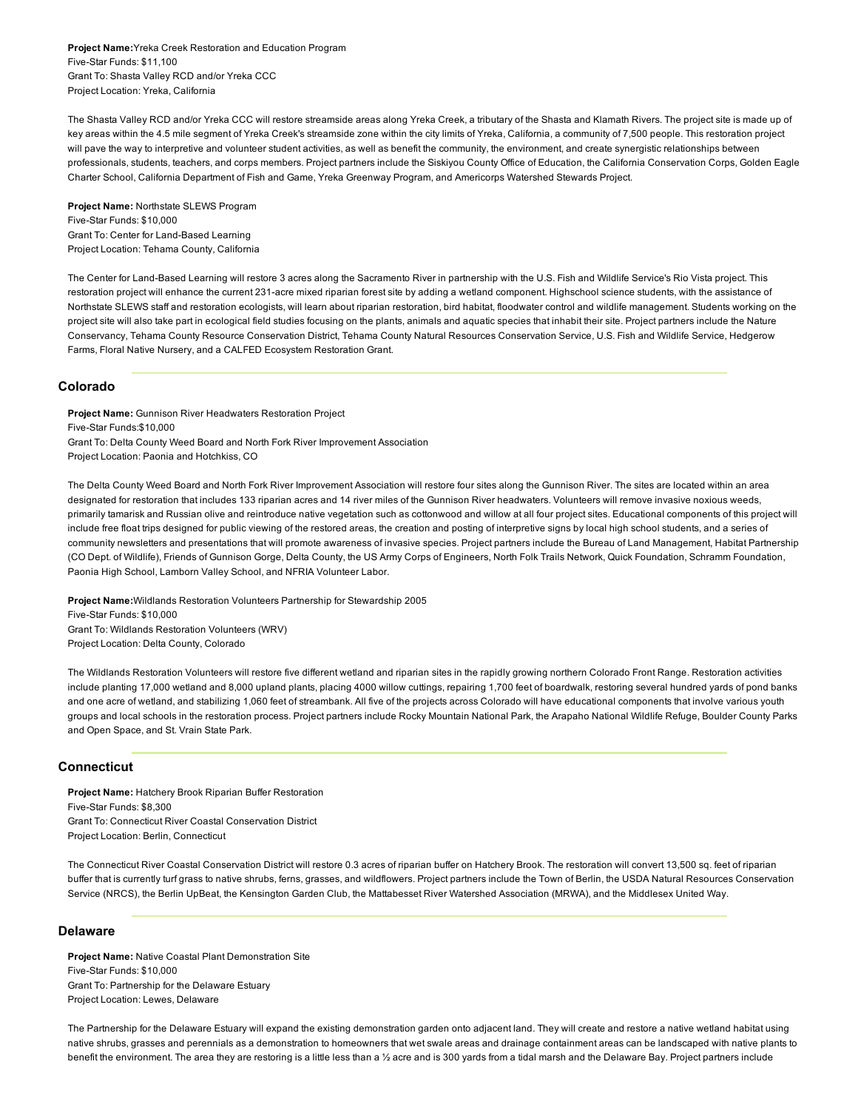Project Name:Yreka Creek Restoration and Education Program Five-Star Funds: \$11,100 Grant To: Shasta Valley RCD and/or Yreka CCC Project Location: Yreka, California

The Shasta Valley RCD and/or Yreka CCC will restore streamside areas along Yreka Creek, a tributary of the Shasta and Klamath Rivers. The project site is made up of key areas within the 4.5 mile segment of Yreka Creek's streamside zone within the city limits of Yreka, California, a community of 7,500 people. This restoration project will pave the way to interpretive and volunteer student activities, as well as benefit the community, the environment, and create synergistic relationships between professionals, students, teachers, and corps members. Project partners include the Siskiyou County Office of Education, the California Conservation Corps, Golden Eagle Charter School, California Department of Fish and Game, Yreka Greenway Program, and Americorps Watershed Stewards Project.

Project Name: Northstate SLEWS Program Five-Star Funds: \$10,000 Grant To: Center for Land-Based Learning Project Location: Tehama County, California

The Center for Land-Based Learning will restore 3 acres along the Sacramento River in partnership with the U.S. Fish and Wildlife Service's Rio Vista project. This restoration project will enhance the current 231-acre mixed riparian forest site by adding a wetland component. Highschool science students, with the assistance of Northstate SLEWS staff and restoration ecologists, will learn about riparian restoration, bird habitat, floodwater control and wildlife management. Students working on the project site will also take part in ecological field studies focusing on the plants, animals and aquatic species that inhabit their site. Project partners include the Nature Conservancy, Tehama County Resource Conservation District, Tehama County Natural Resources Conservation Service, U.S. Fish and Wildlife Service, Hedgerow Farms, Floral Native Nursery, and a CALFED Ecosystem Restoration Grant.

#### Colorado

Project Name: Gunnison River Headwaters Restoration Project Five-Star Funds:\$10,000 Grant To: Delta County Weed Board and North Fork River Improvement Association Project Location: Paonia and Hotchkiss, CO

The Delta County Weed Board and North Fork River Improvement Association will restore four sites along the Gunnison River. The sites are located within an area designated for restoration that includes 133 riparian acres and 14 river miles of the Gunnison River headwaters. Volunteers will remove invasive noxious weeds, primarily tamarisk and Russian olive and reintroduce native vegetation such as cottonwood and willow at all four project sites. Educational components of this project will include free float trips designed for public viewing of the restored areas, the creation and posting of interpretive signs by local high school students, and a series of community newsletters and presentations that will promote awareness of invasive species. Project partners include the Bureau of Land Management, Habitat Partnership (CO Dept. of Wildlife), Friends of Gunnison Gorge, Delta County, the US Army Corps of Engineers, North Folk Trails Network, Quick Foundation, Schramm Foundation, Paonia High School, Lamborn Valley School, and NFRIA Volunteer Labor.

Project Name:Wildlands Restoration Volunteers Partnership for Stewardship 2005 Five-Star Funds: \$10,000 Grant To: Wildlands Restoration Volunteers (WRV) Project Location: Delta County, Colorado

The Wildlands Restoration Volunteers will restore five different wetland and riparian sites in the rapidly growing northern Colorado Front Range. Restoration activities include planting 17,000 wetland and 8,000 upland plants, placing 4000 willow cuttings, repairing 1,700 feet of boardwalk, restoring several hundred yards of pond banks and one acre of wetland, and stabilizing 1,060 feet of streambank. All five of the projects across Colorado will have educational components that involve various youth groups and local schools in the restoration process. Project partners include Rocky Mountain National Park, the Arapaho National Wildlife Refuge, Boulder County Parks and Open Space, and St. Vrain State Park.

## **Connecticut**

Project Name: Hatchery Brook Riparian Buffer Restoration Five-Star Funds: \$8,300 Grant To: Connecticut River Coastal Conservation District Project Location: Berlin, Connecticut

The Connecticut River Coastal Conservation District will restore 0.3 acres of riparian buffer on Hatchery Brook. The restoration will convert 13,500 sq. feet of riparian buffer that is currently turf grass to native shrubs, ferns, grasses, and wildflowers. Project partners include the Town of Berlin, the USDA Natural Resources Conservation Service (NRCS), the Berlin UpBeat, the Kensington Garden Club, the Mattabesset River Watershed Association (MRWA), and the Middlesex United Way.

#### Delaware

Project Name: Native Coastal Plant Demonstration Site Five-Star Funds: \$10,000 Grant To: Partnership for the Delaware Estuary Project Location: Lewes, Delaware

The Partnership for the Delaware Estuary will expand the existing demonstration garden onto adjacent land. They will create and restore a native wetland habitat using native shrubs, grasses and perennials as a demonstration to homeowners that wet swale areas and drainage containment areas can be landscaped with native plants to benefit the environment. The area they are restoring is a little less than a 1/2 acre and is 300 yards from a tidal marsh and the Delaware Bay. Project partners include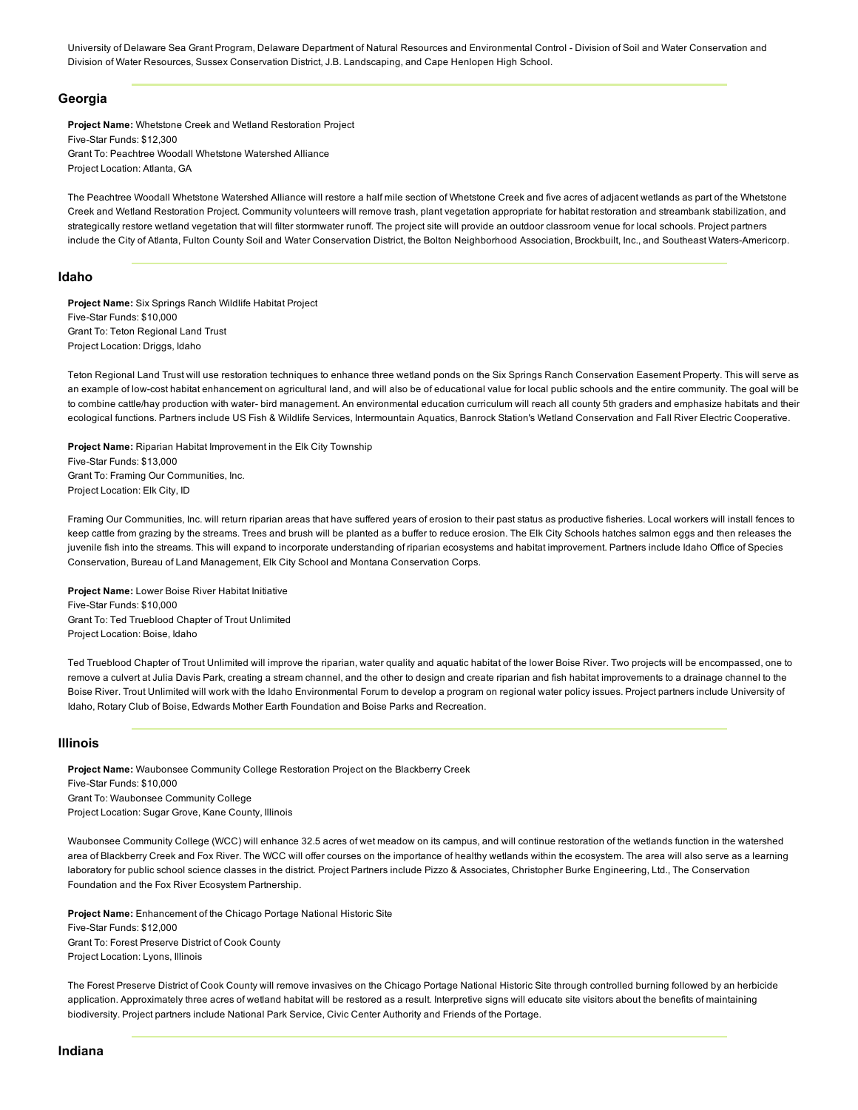University of Delaware Sea Grant Program, Delaware Department of Natural Resources and Environmental Control - Division of Soil and Water Conservation and Division of Water Resources, Sussex Conservation District, J.B. Landscaping, and Cape Henlopen High School.

#### Georgia

Project Name: Whetstone Creek and Wetland Restoration Project Five-Star Funds: \$12,300 Grant To: Peachtree Woodall Whetstone Watershed Alliance Project Location: Atlanta, GA

The Peachtree Woodall Whetstone Watershed Alliance will restore a half mile section of Whetstone Creek and five acres of adjacent wetlands as part of the Whetstone Creek and Wetland Restoration Project. Community volunteers will remove trash, plant vegetation appropriate for habitat restoration and streambank stabilization, and strategically restore wetland vegetation that will filter stormwater runoff. The project site will provide an outdoor classroom venue for local schools. Project partners include the City of Atlanta, Fulton County Soil and Water Conservation District, the Bolton Neighborhood Association, Brockbuilt, Inc., and Southeast Waters-Americorp.

#### Idaho

Project Name: Six Springs Ranch Wildlife Habitat Project Five-Star Funds: \$10,000 Grant To: Teton Regional Land Trust Project Location: Driggs, Idaho

Teton Regional Land Trust will use restoration techniques to enhance three wetland ponds on the Six Springs Ranch Conservation Easement Property. This will serve as an example of low-cost habitat enhancement on agricultural land, and will also be of educational value for local public schools and the entire community. The goal will be to combine cattle/hay production with water- bird management. An environmental education curriculum will reach all county 5th graders and emphasize habitats and their ecological functions. Partners include US Fish & Wildlife Services, Intermountain Aquatics, Banrock Station's Wetland Conservation and Fall River Electric Cooperative.

Project Name: Riparian Habitat Improvement in the Elk City Township Five-Star Funds: \$13,000 Grant To: Framing Our Communities, Inc. Project Location: Elk City, ID

Framing Our Communities, Inc. will return riparian areas that have suffered years of erosion to their past status as productive fisheries. Local workers will install fences to keep cattle from grazing by the streams. Trees and brush will be planted as a buffer to reduce erosion. The Elk City Schools hatches salmon eggs and then releases the juvenile fish into the streams. This will expand to incorporate understanding of riparian ecosystems and habitat improvement. Partners include Idaho Office of Species Conservation, Bureau of Land Management, Elk City School and Montana Conservation Corps.

Project Name: Lower Boise River Habitat Initiative Five-Star Funds: \$10,000 Grant To: Ted Trueblood Chapter of Trout Unlimited Project Location: Boise, Idaho

Ted Trueblood Chapter of Trout Unlimited will improve the riparian, water quality and aquatic habitat of the lower Boise River. Two projects will be encompassed, one to remove a culvert at Julia Davis Park, creating a stream channel, and the other to design and create riparian and fish habitat improvements to a drainage channel to the Boise River. Trout Unlimited will work with the Idaho Environmental Forum to develop a program on regional water policy issues. Project partners include University of Idaho, Rotary Club of Boise, Edwards Mother Earth Foundation and Boise Parks and Recreation.

#### Illinois

Project Name: Waubonsee Community College Restoration Project on the Blackberry Creek Five-Star Funds: \$10,000 Grant To: Waubonsee Community College Project Location: Sugar Grove, Kane County, Illinois

Waubonsee Community College (WCC) will enhance 32.5 acres of wet meadow on its campus, and will continue restoration of the wetlands function in the watershed area of Blackberry Creek and Fox River. The WCC will offer courses on the importance of healthy wetlands within the ecosystem. The area will also serve as a learning laboratory for public school science classes in the district. Project Partners include Pizzo & Associates, Christopher Burke Engineering, Ltd., The Conservation Foundation and the Fox River Ecosystem Partnership.

Project Name: Enhancement of the Chicago Portage National Historic Site Five-Star Funds: \$12,000 Grant To: Forest Preserve District of Cook County Project Location: Lyons, Illinois

The Forest Preserve District of Cook County will remove invasives on the Chicago Portage National Historic Site through controlled burning followed by an herbicide application. Approximately three acres of wetland habitat will be restored as a result. Interpretive signs will educate site visitors about the benefits of maintaining biodiversity. Project partners include National Park Service, Civic Center Authority and Friends of the Portage.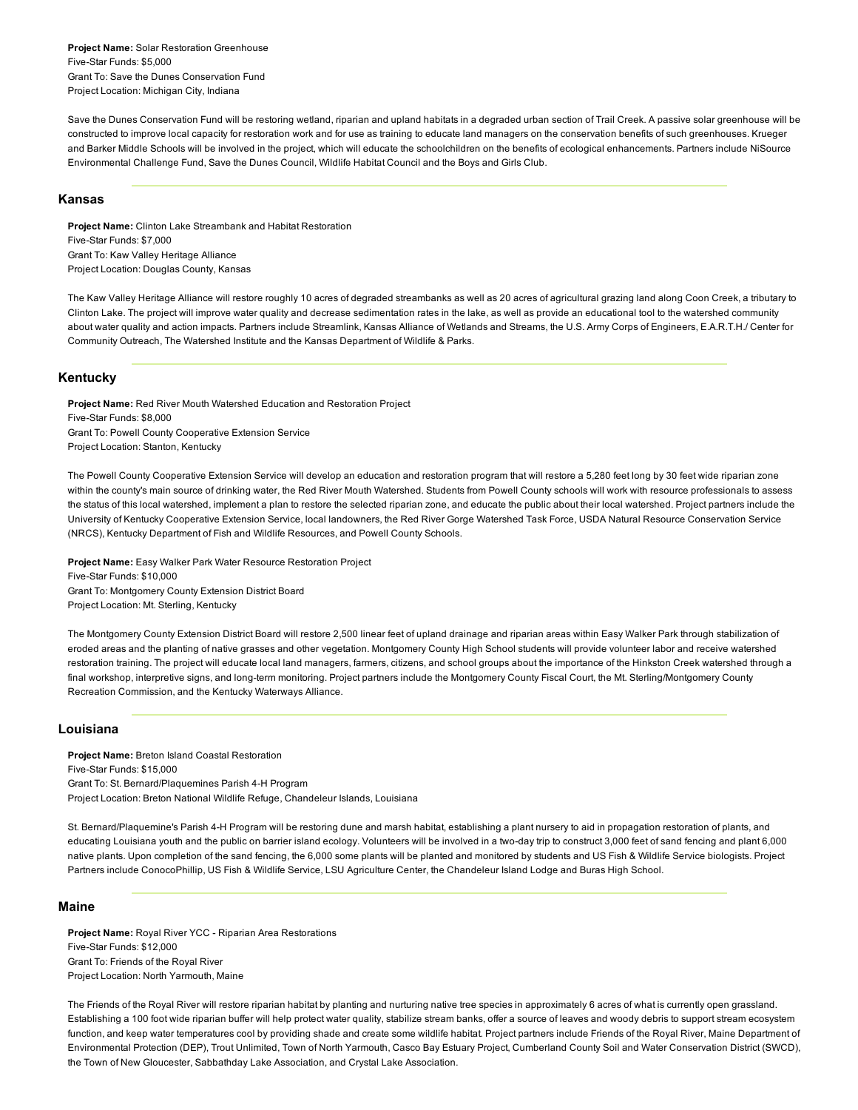Project Name: Solar Restoration Greenhouse Five-Star Funds: \$5,000 Grant To: Save the Dunes Conservation Fund Project Location: Michigan City, Indiana

Save the Dunes Conservation Fund will be restoring wetland, riparian and upland habitats in a degraded urban section of Trail Creek. A passive solar greenhouse will be constructed to improve local capacity for restoration work and for use as training to educate land managers on the conservation benefits of such greenhouses. Krueger and Barker Middle Schools will be involved in the project, which will educate the schoolchildren on the benefits of ecological enhancements. Partners include NiSource Environmental Challenge Fund, Save the Dunes Council, Wildlife Habitat Council and the Boys and Girls Club.

#### Kansas

Project Name: Clinton Lake Streambank and Habitat Restoration Five-Star Funds: \$7,000 Grant To: Kaw Valley Heritage Alliance Project Location: Douglas County, Kansas

The Kaw Valley Heritage Alliance will restore roughly 10 acres of degraded streambanks as well as 20 acres of agricultural grazing land along Coon Creek, a tributary to Clinton Lake. The project will improve water quality and decrease sedimentation rates in the lake, as well as provide an educational tool to the watershed community about water quality and action impacts. Partners include Streamlink, Kansas Alliance of Wetlands and Streams, the U.S. Army Corps of Engineers, E.A.R.T.H./ Center for Community Outreach, The Watershed Institute and the Kansas Department of Wildlife & Parks.

#### Kentucky

Project Name: Red River Mouth Watershed Education and Restoration Project Five-Star Funds: \$8,000 Grant To: Powell County Cooperative Extension Service Project Location: Stanton, Kentucky

The Powell County Cooperative Extension Service will develop an education and restoration program that will restore a 5,280 feet long by 30 feet wide riparian zone within the county's main source of drinking water, the Red River Mouth Watershed. Students from Powell County schools will work with resource professionals to assess the status of this local watershed, implement a plan to restore the selected riparian zone, and educate the public about their local watershed. Project partners include the University of Kentucky Cooperative Extension Service, local landowners, the Red River Gorge Watershed Task Force, USDA Natural Resource Conservation Service (NRCS), Kentucky Department of Fish and Wildlife Resources, and Powell County Schools.

Project Name: Easy Walker Park Water Resource Restoration Project Five-Star Funds: \$10,000 Grant To: Montgomery County Extension District Board Project Location: Mt. Sterling, Kentucky

The Montgomery County Extension District Board will restore 2,500 linear feet of upland drainage and riparian areas within Easy Walker Park through stabilization of eroded areas and the planting of native grasses and other vegetation. Montgomery County High School students will provide volunteer labor and receive watershed restoration training. The project will educate local land managers, farmers, citizens, and school groups about the importance of the Hinkston Creek watershed through a final workshop, interpretive signs, and long-term monitoring. Project partners include the Montgomery County Fiscal Court, the Mt. Sterling/Montgomery County Recreation Commission, and the Kentucky Waterways Alliance.

## Louisiana

Project Name: Breton Island Coastal Restoration Five-Star Funds: \$15,000 Grant To: St. Bernard/Plaquemines Parish 4-H Program Project Location: Breton National Wildlife Refuge, Chandeleur Islands, Louisiana

St. Bernard/Plaquemine's Parish 4H Program will be restoring dune and marsh habitat, establishing a plant nursery to aid in propagation restoration of plants, and educating Louisiana youth and the public on barrier island ecology. Volunteers will be involved in a two-day trip to construct 3,000 feet of sand fencing and plant 6,000 native plants. Upon completion of the sand fencing, the 6,000 some plants will be planted and monitored by students and US Fish & Wildlife Service biologists. Project Partners include ConocoPhillip, US Fish & Wildlife Service, LSU Agriculture Center, the Chandeleur Island Lodge and Buras High School.

#### Maine

Project Name: Royal River YCC - Riparian Area Restorations Five-Star Funds: \$12,000 Grant To: Friends of the Royal River Project Location: North Yarmouth, Maine

The Friends of the Royal River will restore riparian habitat by planting and nurturing native tree species in approximately 6 acres of what is currently open grassland. Establishing a 100 foot wide riparian buffer will help protect water quality, stabilize stream banks, offer a source of leaves and woody debris to support stream ecosystem function, and keep water temperatures cool by providing shade and create some wildlife habitat. Project partners include Friends of the Royal River, Maine Department of Environmental Protection (DEP), Trout Unlimited, Town of North Yarmouth, Casco Bay Estuary Project, Cumberland County Soil and Water Conservation District (SWCD), the Town of New Gloucester, Sabbathday Lake Association, and Crystal Lake Association.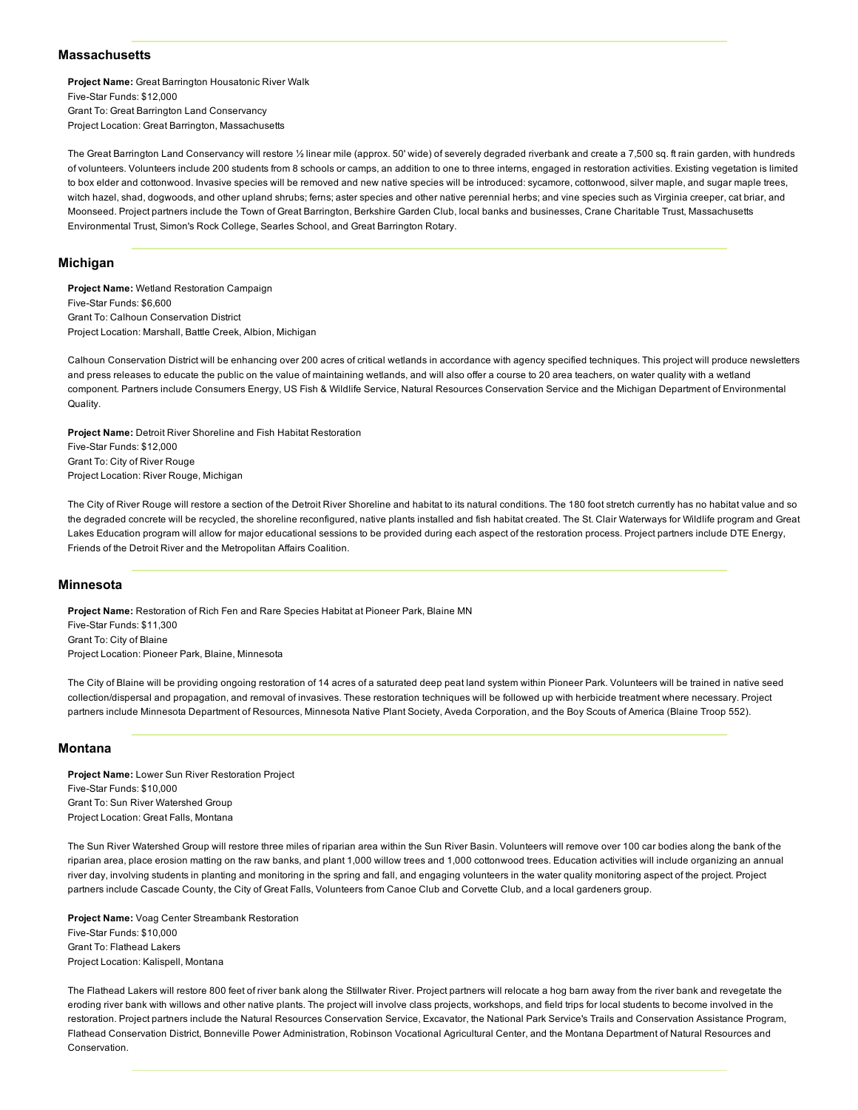#### **Massachusetts**

Project Name: Great Barrington Housatonic River Walk Five-Star Funds: \$12,000 Grant To: Great Barrington Land Conservancy Project Location: Great Barrington, Massachusetts

The Great Barrington Land Conservancy will restore ½ linear mile (approx. 50' wide) of severely degraded riverbank and create a 7,500 sq. ft rain garden, with hundreds of volunteers. Volunteers include 200 students from 8 schools or camps, an addition to one to three interns, engaged in restoration activities. Existing vegetation is limited to box elder and cottonwood. Invasive species will be removed and new native species will be introduced: sycamore, cottonwood, silver maple, and sugar maple trees, witch hazel, shad, dogwoods, and other upland shrubs; ferns; aster species and other native perennial herbs; and vine species such as Virginia creeper, cat briar, and Moonseed. Project partners include the Town of Great Barrington, Berkshire Garden Club, local banks and businesses, Crane Charitable Trust, Massachusetts Environmental Trust, Simon's Rock College, Searles School, and Great Barrington Rotary.

## Michigan

Project Name: Wetland Restoration Campaign Five-Star Funds: \$6,600 Grant To: Calhoun Conservation District Project Location: Marshall, Battle Creek, Albion, Michigan

Calhoun Conservation District will be enhancing over 200 acres of critical wetlands in accordance with agency specified techniques. This project will produce newsletters and press releases to educate the public on the value of maintaining wetlands, and will also offer a course to 20 area teachers, on water quality with a wetland component. Partners include Consumers Energy, US Fish & Wildlife Service, Natural Resources Conservation Service and the Michigan Department of Environmental Quality.

Project Name: Detroit River Shoreline and Fish Habitat Restoration Five-Star Funds: \$12,000 Grant To: City of River Rouge Project Location: River Rouge, Michigan

The City of River Rouge will restore a section of the Detroit River Shoreline and habitat to its natural conditions. The 180 foot stretch currently has no habitat value and so the degraded concrete will be recycled, the shoreline reconfigured, native plants installed and fish habitat created. The St. Clair Waterways for Wildlife program and Great Lakes Education program will allow for major educational sessions to be provided during each aspect of the restoration process. Project partners include DTE Energy, Friends of the Detroit River and the Metropolitan Affairs Coalition.

#### **Minnesota**

Project Name: Restoration of Rich Fen and Rare Species Habitat at Pioneer Park, Blaine MN Five-Star Funds: \$11,300 Grant To: City of Blaine Project Location: Pioneer Park, Blaine, Minnesota

The City of Blaine will be providing ongoing restoration of 14 acres of a saturated deep peat land system within Pioneer Park. Volunteers will be trained in native seed collection/dispersal and propagation, and removal of invasives. These restoration techniques will be followed up with herbicide treatment where necessary. Project partners include Minnesota Department of Resources, Minnesota Native Plant Society, Aveda Corporation, and the Boy Scouts of America (Blaine Troop 552).

## Montana

Project Name: Lower Sun River Restoration Project Five-Star Funds: \$10,000 Grant To: Sun River Watershed Group Project Location: Great Falls, Montana

The Sun River Watershed Group will restore three miles of riparian area within the Sun River Basin. Volunteers will remove over 100 car bodies along the bank of the riparian area, place erosion matting on the raw banks, and plant 1,000 willow trees and 1,000 cottonwood trees. Education activities will include organizing an annual river day, involving students in planting and monitoring in the spring and fall, and engaging volunteers in the water quality monitoring aspect of the project. Project partners include Cascade County, the City of Great Falls, Volunteers from Canoe Club and Corvette Club, and a local gardeners group.

Project Name: Voag Center Streambank Restoration Five-Star Funds: \$10,000 Grant To: Flathead Lakers Project Location: Kalispell, Montana

The Flathead Lakers will restore 800 feet of river bank along the Stillwater River. Project partners will relocate a hog barn away from the river bank and revegetate the eroding river bank with willows and other native plants. The project will involve class projects, workshops, and field trips for local students to become involved in the restoration. Project partners include the Natural Resources Conservation Service, Excavator, the National Park Service's Trails and Conservation Assistance Program, Flathead Conservation District, Bonneville Power Administration, Robinson Vocational Agricultural Center, and the Montana Department of Natural Resources and Conservation.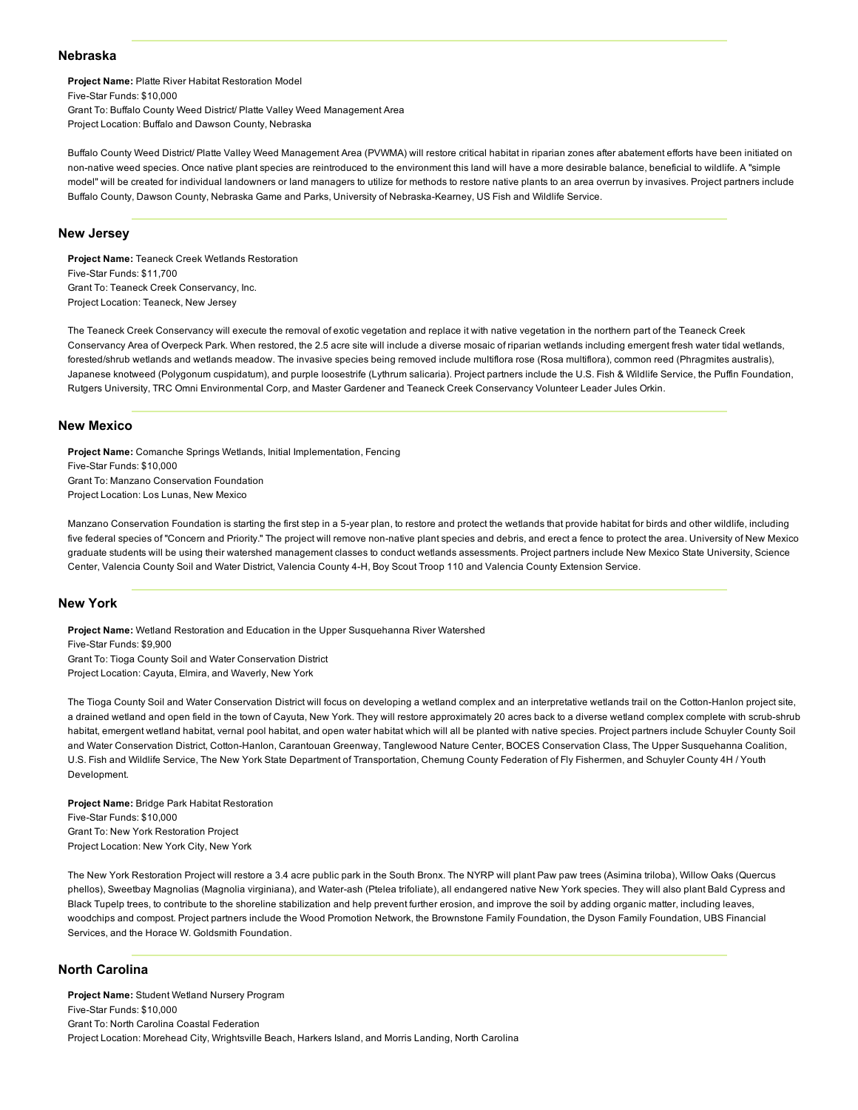#### Nebraska

Project Name: Platte River Habitat Restoration Model Five-Star Funds: \$10,000 Grant To: Buffalo County Weed District/ Platte Valley Weed Management Area Project Location: Buffalo and Dawson County, Nebraska

Buffalo County Weed District/ Platte Valley Weed Management Area (PVWMA) will restore critical habitat in riparian zones after abatement efforts have been initiated on non-native weed species. Once native plant species are reintroduced to the environment this land will have a more desirable balance, beneficial to wildlife. A "simple model" will be created for individual landowners or land managers to utilize for methods to restore native plants to an area overrun by invasives. Project partners include Buffalo County, Dawson County, Nebraska Game and Parks, University of Nebraska-Kearney, US Fish and Wildlife Service.

#### New Jersey

Project Name: Teaneck Creek Wetlands Restoration Five-Star Funds: \$11,700 Grant To: Teaneck Creek Conservancy, Inc. Project Location: Teaneck, New Jersey

The Teaneck Creek Conservancy will execute the removal of exotic vegetation and replace it with native vegetation in the northern part of the Teaneck Creek Conservancy Area of Overpeck Park. When restored, the 2.5 acre site will include a diverse mosaic of riparian wetlands including emergent fresh water tidal wetlands, forested/shrub wetlands and wetlands meadow. The invasive species being removed include multiflora rose (Rosa multiflora), common reed (Phragmites australis), Japanese knotweed (Polygonum cuspidatum), and purple loosestrife (Lythrum salicaria). Project partners include the U.S. Fish & Wildlife Service, the Puffin Foundation, Rutgers University, TRC Omni Environmental Corp, and Master Gardener and Teaneck Creek Conservancy Volunteer Leader Jules Orkin.

#### New Mexico

Project Name: Comanche Springs Wetlands, Initial Implementation, Fencing Five-Star Funds: \$10,000 Grant To: Manzano Conservation Foundation Project Location: Los Lunas, New Mexico

Manzano Conservation Foundation is starting the first step in a 5year plan, to restore and protect the wetlands that provide habitat for birds and other wildlife, including five federal species of "Concern and Priority." The project will remove non-native plant species and debris, and erect a fence to protect the area. University of New Mexico graduate students will be using their watershed management classes to conduct wetlands assessments. Project partners include New Mexico State University, Science Center, Valencia County Soil and Water District, Valencia County 4H, Boy Scout Troop 110 and Valencia County Extension Service.

#### New York

Project Name: Wetland Restoration and Education in the Upper Susquehanna River Watershed Five-Star Funds: \$9,900 Grant To: Tioga County Soil and Water Conservation District Project Location: Cayuta, Elmira, and Waverly, New York

The Tioga County Soil and Water Conservation District will focus on developing a wetland complex and an interpretative wetlands trail on the Cotton-Hanlon project site, a drained wetland and open field in the town of Cayuta, New York. They will restore approximately 20 acres back to a diverse wetland complex complete with scrub-shrub habitat, emergent wetland habitat, vernal pool habitat, and open water habitat which will all be planted with native species. Project partners include Schuyler County Soil and Water Conservation District, Cotton-Hanlon, Carantouan Greenway, Tanglewood Nature Center, BOCES Conservation Class, The Upper Susquehanna Coalition, U.S. Fish and Wildlife Service, The New York State Department of Transportation, Chemung County Federation of Fly Fishermen, and Schuyler County 4H / Youth Development.

Project Name: Bridge Park Habitat Restoration Five-Star Funds: \$10,000 Grant To: New York Restoration Project Project Location: New York City, New York

The New York Restoration Project will restore a 3.4 acre public park in the South Bronx. The NYRP will plant Paw paw trees (Asimina triloba), Willow Oaks (Quercus phellos), Sweetbay Magnolias (Magnolia virginiana), and Waterash (Ptelea trifoliate), all endangered native New York species. They will also plant Bald Cypress and Black Tupelp trees, to contribute to the shoreline stabilization and help prevent further erosion, and improve the soil by adding organic matter, including leaves, woodchips and compost. Project partners include the Wood Promotion Network, the Brownstone Family Foundation, the Dyson Family Foundation, UBS Financial Services, and the Horace W. Goldsmith Foundation.

#### North Carolina

Project Name: Student Wetland Nursery Program Five-Star Funds: \$10,000 Grant To: North Carolina Coastal Federation Project Location: Morehead City, Wrightsville Beach, Harkers Island, and Morris Landing, North Carolina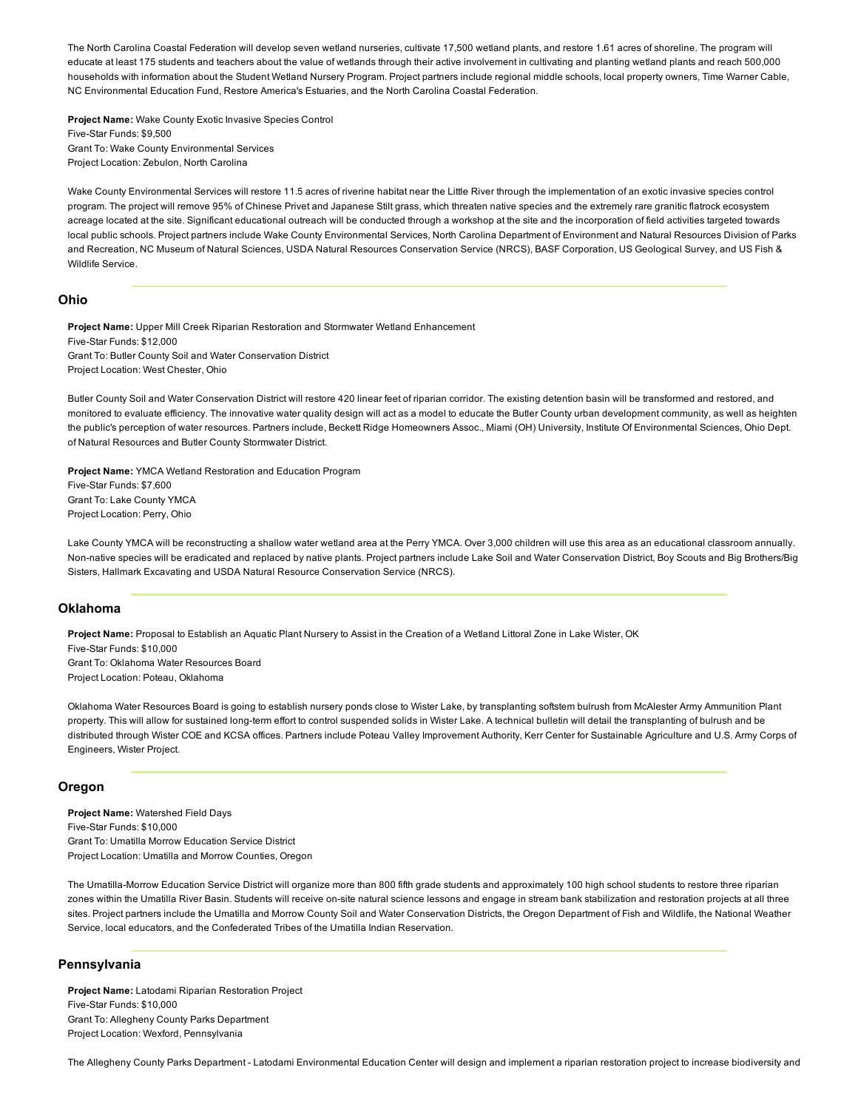The North Carolina Coastal Federation will develop seven wetland nurseries, cultivate 17,500 wetland plants, and restore 1.61 acres of shoreline. The program will educate at least 175 students and teachers about the value of wetlands through their active involvement in cultivating and planting wetland plants and reach 500,000 households with information about the Student Wetland Nursery Program. Project partners include regional middle schools, local property owners, Time Warner Cable, NC Environmental Education Fund, Restore America's Estuaries, and the North Carolina Coastal Federation.

Project Name: Wake County Exotic Invasive Species Control Five-Star Funds: \$9,500 Grant To: Wake County Environmental Services Project Location: Zebulon, North Carolina

Wake County Environmental Services will restore 11.5 acres of riverine habitat near the Little River through the implementation of an exotic invasive species control program. The project will remove 95% of Chinese Privet and Japanese Stilt grass, which threaten native species and the extremely rare granitic flatrock ecosystem acreage located at the site. Significant educational outreach will be conducted through a workshop at the site and the incorporation of field activities targeted towards local public schools. Project partners include Wake County Environmental Services, North Carolina Department of Environment and Natural Resources Division of Parks and Recreation, NC Museum of Natural Sciences, USDA Natural Resources Conservation Service (NRCS), BASF Corporation, US Geological Survey, and US Fish & Wildlife Service.

#### Ohio

Project Name: Upper Mill Creek Riparian Restoration and Stormwater Wetland Enhancement Five-Star Funds: \$12,000 Grant To: Butler County Soil and Water Conservation District Project Location: West Chester, Ohio

Butler County Soil and Water Conservation District will restore 420 linear feet of riparian corridor. The existing detention basin will be transformed and restored, and monitored to evaluate efficiency. The innovative water quality design will act as a model to educate the Butler County urban development community, as well as heighten the public's perception of water resources. Partners include, Beckett Ridge Homeowners Assoc., Miami (OH) University, Institute Of Environmental Sciences, Ohio Dept. of Natural Resources and Butler County Stormwater District.

Project Name: YMCA Wetland Restoration and Education Program Five-Star Funds: \$7,600 Grant To: Lake County YMCA Project Location: Perry, Ohio

Lake County YMCA will be reconstructing a shallow water wetland area at the Perry YMCA. Over 3,000 children will use this area as an educational classroom annually. Non-native species will be eradicated and replaced by native plants. Project partners include Lake Soil and Water Conservation District, Boy Scouts and Big Brothers/Big Sisters, Hallmark Excavating and USDA Natural Resource Conservation Service (NRCS).

# Oklahoma

Project Name: Proposal to Establish an Aquatic Plant Nursery to Assist in the Creation of a Wetland Littoral Zone in Lake Wister, OK Five-Star Funds: \$10,000 Grant To: Oklahoma Water Resources Board

Project Location: Poteau, Oklahoma

Oklahoma Water Resources Board is going to establish nursery ponds close to Wister Lake, by transplanting softstem bulrush from McAlester Army Ammunition Plant property. This will allow for sustained long-term effort to control suspended solids in Wister Lake. A technical bulletin will detail the transplanting of bulrush and be distributed through Wister COE and KCSA offices. Partners include Poteau Valley Improvement Authority, Kerr Center for Sustainable Agriculture and U.S. Army Corps of Engineers, Wister Project.

#### Oregon

Project Name: Watershed Field Days Five-Star Funds: \$10,000 Grant To: Umatilla Morrow Education Service District Project Location: Umatilla and Morrow Counties, Oregon

The Umatilla-Morrow Education Service District will organize more than 800 fifth grade students and approximately 100 high school students to restore three riparian zones within the Umatilla River Basin. Students will receive on-site natural science lessons and engage in stream bank stabilization and restoration projects at all three sites. Project partners include the Umatilla and Morrow County Soil and Water Conservation Districts, the Oregon Department of Fish and Wildlife, the National Weather Service, local educators, and the Confederated Tribes of the Umatilla Indian Reservation.

#### Pennsylvania

Project Name: Latodami Riparian Restoration Project Five-Star Funds: \$10,000 Grant To: Allegheny County Parks Department Project Location: Wexford, Pennsylvania

The Allegheny County Parks Department - Latodami Environmental Education Center will design and implement a riparian restoration project to increase biodiversity and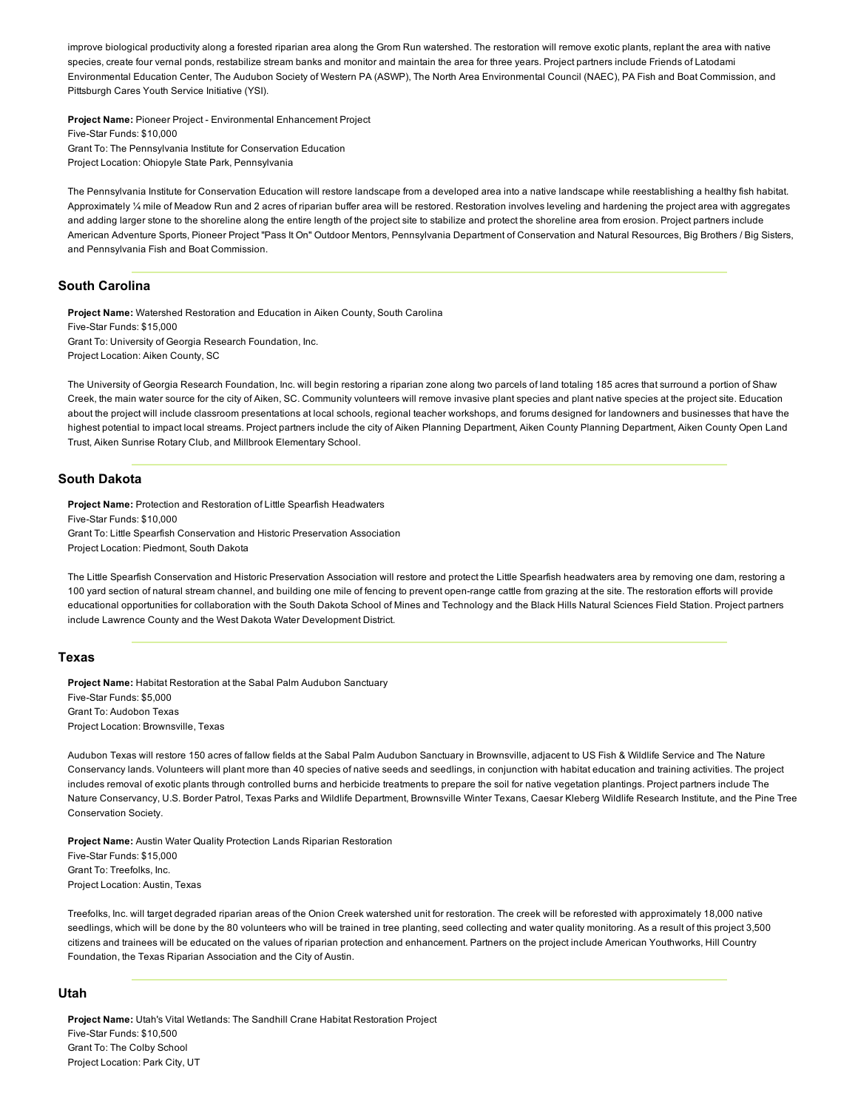improve biological productivity along a forested riparian area along the Grom Run watershed. The restoration will remove exotic plants, replant the area with native species, create four vernal ponds, restabilize stream banks and monitor and maintain the area for three years. Project partners include Friends of Latodami Environmental Education Center, The Audubon Society of Western PA (ASWP), The North Area Environmental Council (NAEC), PA Fish and Boat Commission, and Pittsburgh Cares Youth Service Initiative (YSI).

Project Name: Pioneer Project - Environmental Enhancement Project Five-Star Funds: \$10,000 Grant To: The Pennsylvania Institute for Conservation Education Project Location: Ohiopyle State Park, Pennsylvania

The Pennsylvania Institute for Conservation Education will restore landscape from a developed area into a native landscape while reestablishing a healthy fish habitat. Approximately 1/4 mile of Meadow Run and 2 acres of riparian buffer area will be restored. Restoration involves leveling and hardening the project area with aggregates and adding larger stone to the shoreline along the entire length of the project site to stabilize and protect the shoreline area from erosion. Project partners include American Adventure Sports, Pioneer Project "Pass It On" Outdoor Mentors, Pennsylvania Department of Conservation and Natural Resources, Big Brothers / Big Sisters, and Pennsylvania Fish and Boat Commission.

# South Carolina

Project Name: Watershed Restoration and Education in Aiken County, South Carolina Five-Star Funds: \$15,000 Grant To: University of Georgia Research Foundation, Inc. Project Location: Aiken County, SC

The University of Georgia Research Foundation, Inc. will begin restoring a riparian zone along two parcels of land totaling 185 acres that surround a portion of Shaw Creek, the main water source for the city of Aiken, SC. Community volunteers will remove invasive plant species and plant native species at the project site. Education about the project will include classroom presentations at local schools, regional teacher workshops, and forums designed for landowners and businesses that have the highest potential to impact local streams. Project partners include the city of Aiken Planning Department, Aiken County Planning Department, Aiken County Open Land Trust, Aiken Sunrise Rotary Club, and Millbrook Elementary School.

## South Dakota

Project Name: Protection and Restoration of Little Spearfish Headwaters Five-Star Funds: \$10,000 Grant To: Little Spearfish Conservation and Historic Preservation Association Project Location: Piedmont, South Dakota

The Little Spearfish Conservation and Historic Preservation Association will restore and protect the Little Spearfish headwaters area by removing one dam, restoring a 100 yard section of natural stream channel, and building one mile of fencing to prevent open-range cattle from grazing at the site. The restoration efforts will provide educational opportunities for collaboration with the South Dakota School of Mines and Technology and the Black Hills Natural Sciences Field Station. Project partners include Lawrence County and the West Dakota Water Development District.

#### Texas

Project Name: Habitat Restoration at the Sabal Palm Audubon Sanctuary Five-Star Funds: \$5,000 Grant To: Audobon Texas Project Location: Brownsville, Texas

Audubon Texas will restore 150 acres of fallow fields at the Sabal Palm Audubon Sanctuary in Brownsville, adjacent to US Fish & Wildlife Service and The Nature Conservancy lands. Volunteers will plant more than 40 species of native seeds and seedlings, in conjunction with habitat education and training activities. The project includes removal of exotic plants through controlled burns and herbicide treatments to prepare the soil for native vegetation plantings. Project partners include The Nature Conservancy, U.S. Border Patrol, Texas Parks and Wildlife Department, Brownsville Winter Texans, Caesar Kleberg Wildlife Research Institute, and the Pine Tree Conservation Society.

Project Name: Austin Water Quality Protection Lands Riparian Restoration Five-Star Funds: \$15,000 Grant To: Treefolks, Inc. Project Location: Austin, Texas

Treefolks, Inc. will target degraded riparian areas of the Onion Creek watershed unit for restoration. The creek will be reforested with approximately 18,000 native seedlings, which will be done by the 80 volunteers who will be trained in tree planting, seed collecting and water quality monitoring. As a result of this project 3,500 citizens and trainees will be educated on the values of riparian protection and enhancement. Partners on the project include American Youthworks, Hill Country Foundation, the Texas Riparian Association and the City of Austin.

## Utah

Project Name: Utah's Vital Wetlands: The Sandhill Crane Habitat Restoration Project Five-Star Funds: \$10,500 Grant To: The Colby School Project Location: Park City, UT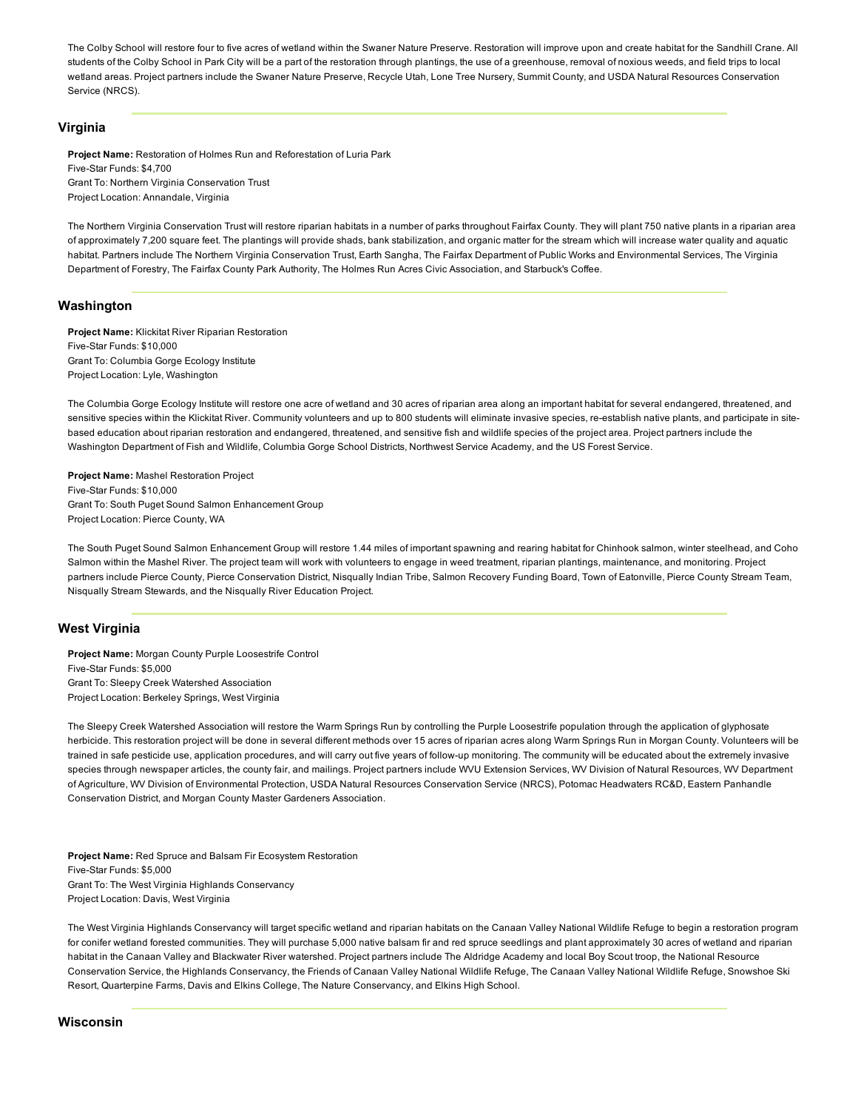The Colby School will restore four to five acres of wetland within the Swaner Nature Preserve. Restoration will improve upon and create habitat for the Sandhill Crane. All students of the Colby School in Park City will be a part of the restoration through plantings, the use of a greenhouse, removal of noxious weeds, and field trips to local wetland areas. Project partners include the Swaner Nature Preserve, Recycle Utah, Lone Tree Nursery, Summit County, and USDA Natural Resources Conservation Service (NRCS).

## Virginia

Project Name: Restoration of Holmes Run and Reforestation of Luria Park Five-Star Funds: \$4,700 Grant To: Northern Virginia Conservation Trust Project Location: Annandale, Virginia

The Northern Virginia Conservation Trust will restore riparian habitats in a number of parks throughout Fairfax County. They will plant 750 native plants in a riparian area of approximately 7,200 square feet. The plantings will provide shads, bank stabilization, and organic matter for the stream which will increase water quality and aquatic habitat. Partners include The Northern Virginia Conservation Trust, Earth Sangha, The Fairfax Department of Public Works and Environmental Services, The Virginia Department of Forestry, The Fairfax County Park Authority, The Holmes Run Acres Civic Association, and Starbuck's Coffee.

#### Washington

Project Name: Klickitat River Riparian Restoration Five-Star Funds: \$10,000 Grant To: Columbia Gorge Ecology Institute Project Location: Lyle, Washington

The Columbia Gorge Ecology Institute will restore one acre of wetland and 30 acres of riparian area along an important habitat for several endangered, threatened, and sensitive species within the Klickitat River. Community volunteers and up to 800 students will eliminate invasive species, re-establish native plants, and participate in sitebased education about riparian restoration and endangered, threatened, and sensitive fish and wildlife species of the project area. Project partners include the Washington Department of Fish and Wildlife, Columbia Gorge School Districts, Northwest Service Academy, and the US Forest Service.

Project Name: Mashel Restoration Project Five-Star Funds: \$10,000 Grant To: South Puget Sound Salmon Enhancement Group Project Location: Pierce County, WA

The South Puget Sound Salmon Enhancement Group will restore 1.44 miles of important spawning and rearing habitat for Chinhook salmon, winter steelhead, and Coho Salmon within the Mashel River. The project team will work with volunteers to engage in weed treatment, riparian plantings, maintenance, and monitoring. Project partners include Pierce County, Pierce Conservation District, Nisqually Indian Tribe, Salmon Recovery Funding Board, Town of Eatonville, Pierce County Stream Team, Nisqually Stream Stewards, and the Nisqually River Education Project.

## West Virginia

Project Name: Morgan County Purple Loosestrife Control Five-Star Funds: \$5,000 Grant To: Sleepy Creek Watershed Association Project Location: Berkeley Springs, West Virginia

The Sleepy Creek Watershed Association will restore the Warm Springs Run by controlling the Purple Loosestrife population through the application of glyphosate herbicide. This restoration project will be done in several different methods over 15 acres of riparian acres along Warm Springs Run in Morgan County. Volunteers will be trained in safe pesticide use, application procedures, and will carry out five years of follow-up monitoring. The community will be educated about the extremely invasive species through newspaper articles, the county fair, and mailings. Project partners include WVU Extension Services, WV Division of Natural Resources, WV Department of Agriculture, WV Division of Environmental Protection, USDA Natural Resources Conservation Service (NRCS), Potomac Headwaters RC&D, Eastern Panhandle Conservation District, and Morgan County Master Gardeners Association.

Project Name: Red Spruce and Balsam Fir Ecosystem Restoration Five-Star Funds: \$5,000 Grant To: The West Virginia Highlands Conservancy Project Location: Davis, West Virginia

The West Virginia Highlands Conservancy will target specific wetland and riparian habitats on the Canaan Valley National Wildlife Refuge to begin a restoration program for conifer wetland forested communities. They will purchase 5,000 native balsam fir and red spruce seedlings and plant approximately 30 acres of wetland and riparian habitat in the Canaan Valley and Blackwater River watershed. Project partners include The Aldridge Academy and local Boy Scout troop, the National Resource Conservation Service, the Highlands Conservancy, the Friends of Canaan Valley National Wildlife Refuge, The Canaan Valley National Wildlife Refuge, Snowshoe Ski Resort, Quarterpine Farms, Davis and Elkins College, The Nature Conservancy, and Elkins High School.